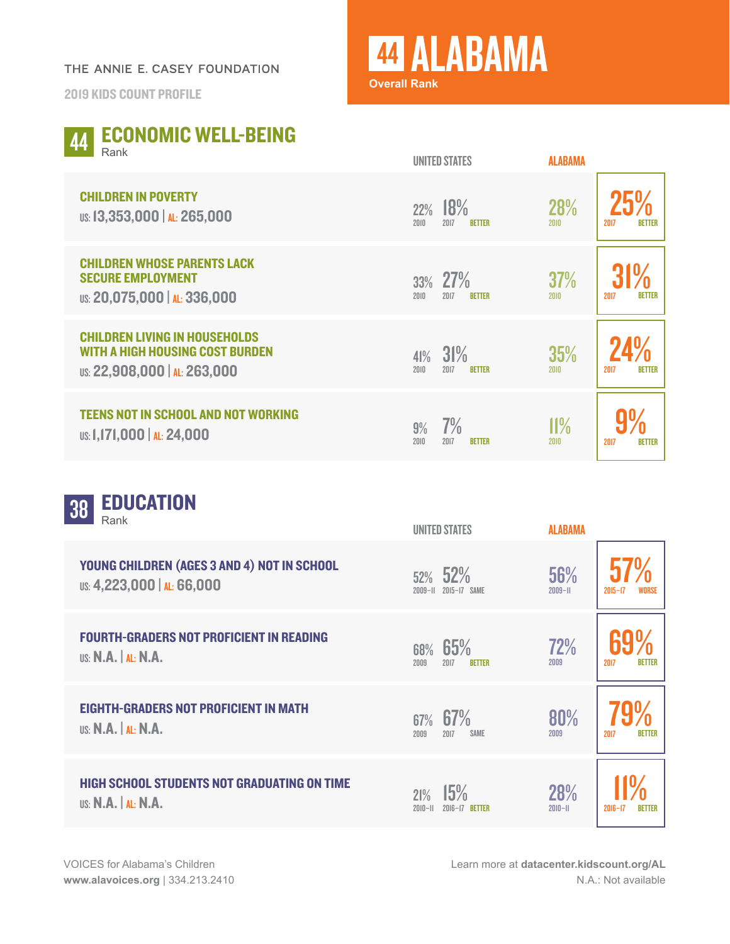## THE ANNIE E. CASEY FOUNDATION

2019 KIDS COUNT PROFILE

## <sup>44</sup> ALABAMA **Overall Rank**

UNITED STATES

**ALARAMA** 

|  | 44 ECONOMIC WELL-BEING |  |  |
|--|------------------------|--|--|
|  |                        |  |  |

| <b>CHILDREN IN POVERTY</b><br>US: 13,353,000   AL: 265,000                                                     | 18%<br>22%<br>2010<br>2017<br><b>BETTER</b> | 28%<br>2010        | 2017<br><b>BETTER</b> |
|----------------------------------------------------------------------------------------------------------------|---------------------------------------------|--------------------|-----------------------|
| <b>CHILDREN WHOSE PARENTS LACK</b><br><b>SECURE EMPLOYMENT</b><br>US: 20,075,000   AL: 336,000                 | 33% 27%<br>2010<br>2017<br><b>BETTER</b>    | <b>37%</b><br>2010 | <b>BETTER</b><br>2017 |
| <b>CHILDREN LIVING IN HOUSEHOLDS</b><br><b>WITH A HIGH HOUSING COST BURDEN</b><br>US: 22,908,000   AL: 263,000 | 31%<br>41%<br>2010<br>2017<br><b>BETTER</b> | 35%<br>2010        | <b>BETTER</b><br>2017 |
| <b>TEENS NOT IN SCHOOL AND NOT WORKING</b><br>US: 1,171,000   AL: 24,000                                       | 7%<br>9%<br>2010<br>2017<br><b>BETTER</b>   | 11%<br>2010        | 2017<br><b>BETTER</b> |

| <b>EDUCATION</b><br>38<br>Rank                                                   | <b>UNITED STATES</b>                        | <b>ALABAMA</b>     |                              |
|----------------------------------------------------------------------------------|---------------------------------------------|--------------------|------------------------------|
| YOUNG CHILDREN (AGES 3 AND 4) NOT IN SCHOOL<br>US: 4,223,000   AL: 66,000        | 52% 52%<br>$2009 - H$<br>2015-17 SAME       | 56%<br>$2009 - H$  | $2015 - 17$                  |
| <b>FOURTH-GRADERS NOT PROFICIENT IN READING</b><br><b>US: N.A.</b>   AL: N.A.    | 65%<br>68%<br>2017<br>2009<br><b>BETTER</b> | 72%<br>2009        | <b>BETTER</b><br>2017        |
| <b>EIGHTH-GRADERS NOT PROFICIENT IN MATH</b><br><b>US: N.A.</b>   AL: N.A.       | 67%<br>67%<br>2009<br>2017<br>SAME          | 80%<br>2009        | <b>BETTER</b><br>2017        |
| <b>HIGH SCHOOL STUDENTS NOT GRADUATING ON TIME</b><br><b>US: N.A.   AL: N.A.</b> | 15%<br>21%<br>$2010 - 11$<br>2016-17 RETTER | 28%<br>$2010 - 11$ | $2016 - 17$<br><b>BETTER</b> |

Learn more at **[datacenter.kidscount.org/AL](https://datacenter.kidscount.org/data#AL/2/0/char/0)** N.A.: Not available